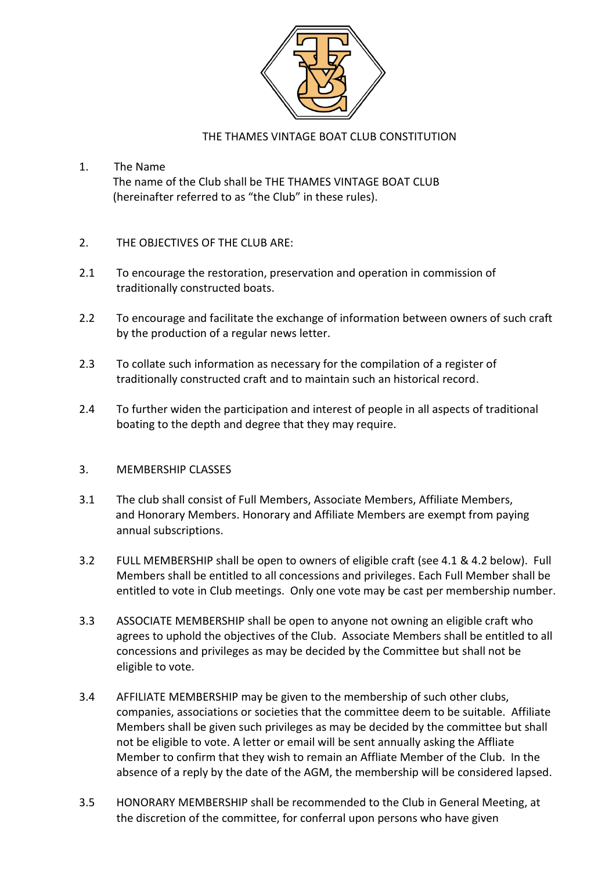

### THE THAMES VINTAGE BOAT CLUB CONSTITUTION

- 1. The Name The name of the Club shall be THE THAMES VINTAGE BOAT CLUB (hereinafter referred to as "the Club" in these rules).
- 2. THE OBJECTIVES OF THE CLUB ARE:
- 2.1 To encourage the restoration, preservation and operation in commission of traditionally constructed boats.
- 2.2 To encourage and facilitate the exchange of information between owners of such craft by the production of a regular news letter.
- 2.3 To collate such information as necessary for the compilation of a register of traditionally constructed craft and to maintain such an historical record.
- 2.4 To further widen the participation and interest of people in all aspects of traditional boating to the depth and degree that they may require.

#### 3. MEMBERSHIP CLASSES

- 3.1 The club shall consist of Full Members, Associate Members, Affiliate Members, and Honorary Members. Honorary and Affiliate Members are exempt from paying annual subscriptions.
- 3.2 FULL MEMBERSHIP shall be open to owners of eligible craft (see 4.1 & 4.2 below). Full Members shall be entitled to all concessions and privileges. Each Full Member shall be entitled to vote in Club meetings. Only one vote may be cast per membership number.
- 3.3 ASSOCIATE MEMBERSHIP shall be open to anyone not owning an eligible craft who agrees to uphold the objectives of the Club. Associate Members shall be entitled to all concessions and privileges as may be decided by the Committee but shall not be eligible to vote.
- 3.4 AFFILIATE MEMBERSHIP may be given to the membership of such other clubs, companies, associations or societies that the committee deem to be suitable. Affiliate Members shall be given such privileges as may be decided by the committee but shall not be eligible to vote. A letter or email will be sent annually asking the Affliate Member to confirm that they wish to remain an Affliate Member of the Club. In the absence of a reply by the date of the AGM, the membership will be considered lapsed.
- 3.5 HONORARY MEMBERSHIP shall be recommended to the Club in General Meeting, at the discretion of the committee, for conferral upon persons who have given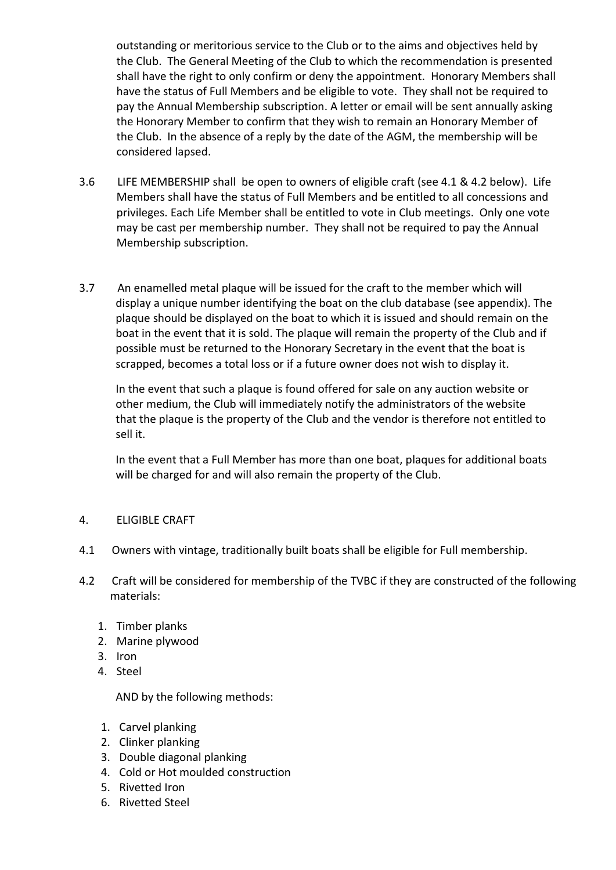outstanding or meritorious service to the Club or to the aims and objectives held by the Club. The General Meeting of the Club to which the recommendation is presented shall have the right to only confirm or deny the appointment. Honorary Members shall have the status of Full Members and be eligible to vote. They shall not be required to pay the Annual Membership subscription. A letter or email will be sent annually asking the Honorary Member to confirm that they wish to remain an Honorary Member of the Club. In the absence of a reply by the date of the AGM, the membership will be considered lapsed.

- 3.6 LIFE MEMBERSHIP shall be open to owners of eligible craft (see 4.1 & 4.2 below). Life Members shall have the status of Full Members and be entitled to all concessions and privileges. Each Life Member shall be entitled to vote in Club meetings. Only one vote may be cast per membership number. They shall not be required to pay the Annual Membership subscription.
- 3.7 An enamelled metal plaque will be issued for the craft to the member which will display a unique number identifying the boat on the club database (see appendix). The plaque should be displayed on the boat to which it is issued and should remain on the boat in the event that it is sold. The plaque will remain the property of the Club and if possible must be returned to the Honorary Secretary in the event that the boat is scrapped, becomes a total loss or if a future owner does not wish to display it.

 In the event that such a plaque is found offered for sale on any auction website or other medium, the Club will immediately notify the administrators of the website that the plaque is the property of the Club and the vendor is therefore not entitled to sell it.

 In the event that a Full Member has more than one boat, plaques for additional boats will be charged for and will also remain the property of the Club.

## 4. ELIGIBLE CRAFT

- 4.1 Owners with vintage, traditionally built boats shall be eligible for Full membership.
- 4.2 Craft will be considered for membership of the TVBC if they are constructed of the following materials:
	- 1. Timber planks
	- 2. Marine plywood
	- 3. Iron
	- 4. Steel

AND by the following methods:

- 1. Carvel planking
- 2. Clinker planking
- 3. Double diagonal planking
- 4. Cold or Hot moulded construction
- 5. Rivetted Iron
- 6. Rivetted Steel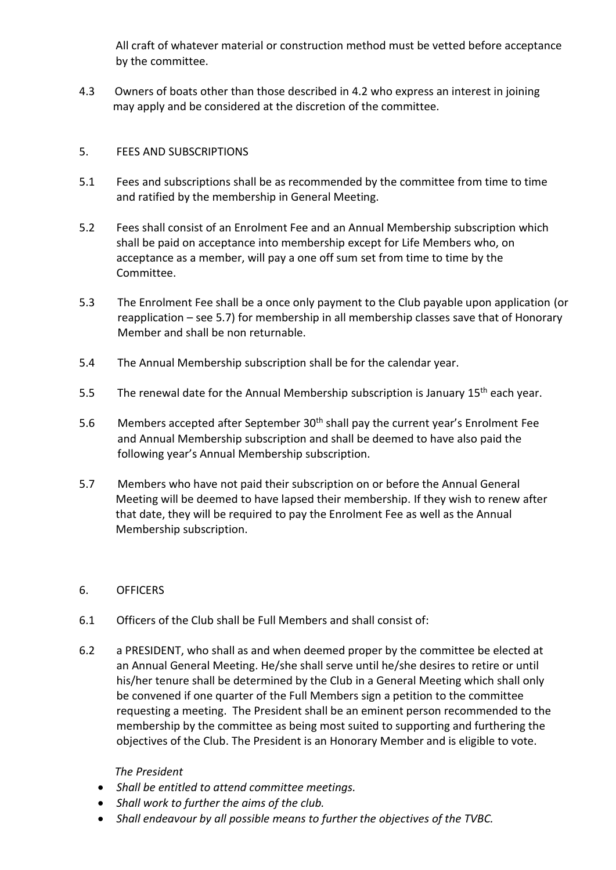All craft of whatever material or construction method must be vetted before acceptance by the committee.

4.3 Owners of boats other than those described in 4.2 who express an interest in joining may apply and be considered at the discretion of the committee.

# 5. FEES AND SUBSCRIPTIONS

- 5.1 Fees and subscriptions shall be as recommended by the committee from time to time and ratified by the membership in General Meeting.
- 5.2 Fees shall consist of an Enrolment Fee and an Annual Membership subscription which shall be paid on acceptance into membership except for Life Members who, on acceptance as a member, will pay a one off sum set from time to time by the Committee.
- 5.3 The Enrolment Fee shall be a once only payment to the Club payable upon application (or reapplication – see 5.7) for membership in all membership classes save that of Honorary Member and shall be non returnable.
- 5.4 The Annual Membership subscription shall be for the calendar year.
- 5.5 The renewal date for the Annual Membership subscription is January 15<sup>th</sup> each year.
- 5.6 Members accepted after September 30<sup>th</sup> shall pay the current year's Enrolment Fee and Annual Membership subscription and shall be deemed to have also paid the following year's Annual Membership subscription.
- 5.7 Members who have not paid their subscription on or before the Annual General Meeting will be deemed to have lapsed their membership. If they wish to renew after that date, they will be required to pay the Enrolment Fee as well as the Annual Membership subscription.

## 6. OFFICERS

- 6.1 Officers of the Club shall be Full Members and shall consist of:
- 6.2 a PRESIDENT, who shall as and when deemed proper by the committee be elected at an Annual General Meeting. He/she shall serve until he/she desires to retire or until his/her tenure shall be determined by the Club in a General Meeting which shall only be convened if one quarter of the Full Members sign a petition to the committee requesting a meeting. The President shall be an eminent person recommended to the membership by the committee as being most suited to supporting and furthering the objectives of the Club. The President is an Honorary Member and is eligible to vote.

## *The President*

- *Shall be entitled to attend committee meetings.*
- *Shall work to further the aims of the club.*
- *Shall endeavour by all possible means to further the objectives of the TVBC.*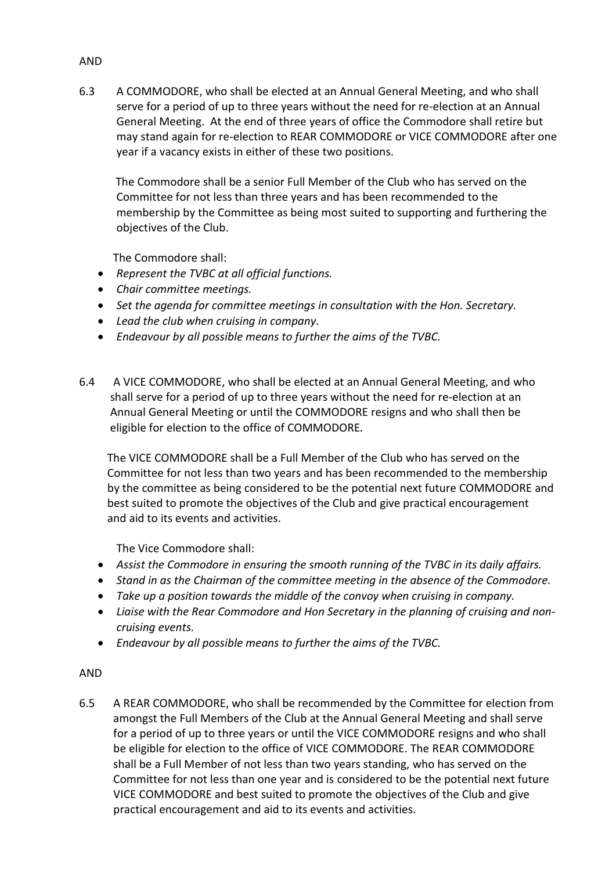6.3 A COMMODORE, who shall be elected at an Annual General Meeting, and who shall serve for a period of up to three years without the need for re-election at an Annual General Meeting. At the end of three years of office the Commodore shall retire but may stand again for re-election to REAR COMMODORE or VICE COMMODORE after one year if a vacancy exists in either of these two positions.

 The Commodore shall be a senior Full Member of the Club who has served on the Committee for not less than three years and has been recommended to the membership by the Committee as being most suited to supporting and furthering the objectives of the Club.

The Commodore shall:

- *Represent the TVBC at all official functions.*
- *Chair committee meetings.*
- *Set the agenda for committee meetings in consultation with the Hon. Secretary.*
- *Lead the club when cruising in company.*
- *Endeavour by all possible means to further the aims of the TVBC.*
- 6.4 A VICE COMMODORE, who shall be elected at an Annual General Meeting, and who shall serve for a period of up to three years without the need for re-election at an Annual General Meeting or until the COMMODORE resigns and who shall then be eligible for election to the office of COMMODORE*.*

 The VICE COMMODORE shall be a Full Member of the Club who has served on the Committee for not less than two years and has been recommended to the membership by the committee as being considered to be the potential next future COMMODORE and best suited to promote the objectives of the Club and give practical encouragement and aid to its events and activities.

The Vice Commodore shall:

- *Assist the Commodore in ensuring the smooth running of the TVBC in its daily affairs.*
- *Stand in as the Chairman of the committee meeting in the absence of the Commodore.*
- *Take up a position towards the middle of the convoy when cruising in company.*
- *Liaise with the Rear Commodore and Hon Secretary in the planning of cruising and noncruising events.*
- *Endeavour by all possible means to further the aims of the TVBC.*

## AND

6.5 A REAR COMMODORE, who shall be recommended by the Committee for election from amongst the Full Members of the Club at the Annual General Meeting and shall serve for a period of up to three years or until the VICE COMMODORE resigns and who shall be eligible for election to the office of VICE COMMODORE. The REAR COMMODORE shall be a Full Member of not less than two years standing, who has served on the Committee for not less than one year and is considered to be the potential next future VICE COMMODORE and best suited to promote the objectives of the Club and give practical encouragement and aid to its events and activities.

#### AND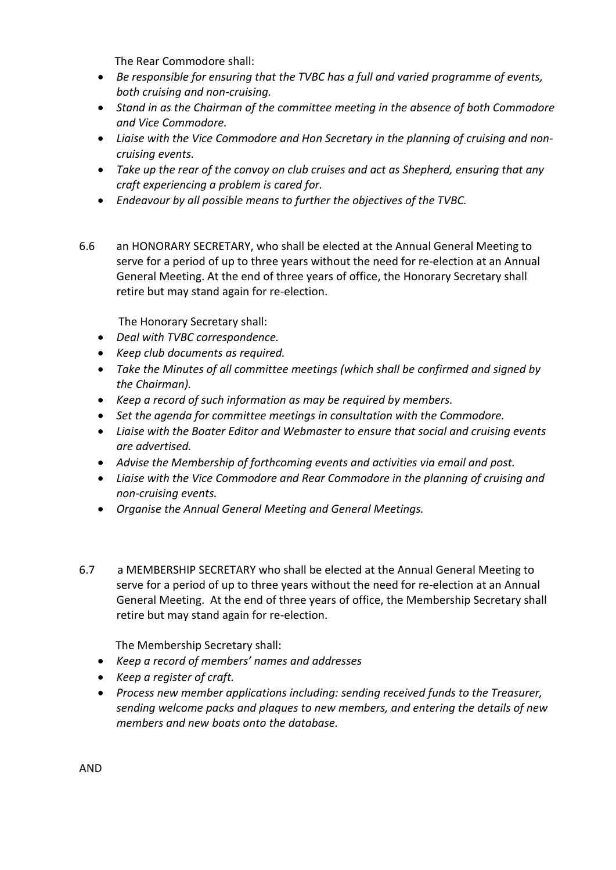The Rear Commodore shall:

- *Be responsible for ensuring that the TVBC has a full and varied programme of events, both cruising and non-cruising.*
- *Stand in as the Chairman of the committee meeting in the absence of both Commodore and Vice Commodore.*
- *Liaise with the Vice Commodore and Hon Secretary in the planning of cruising and noncruising events.*
- *Take up the rear of the convoy on club cruises and act as Shepherd, ensuring that any craft experiencing a problem is cared for.*
- *Endeavour by all possible means to further the objectives of the TVBC.*
- 6.6 an HONORARY SECRETARY, who shall be elected at the Annual General Meeting to serve for a period of up to three years without the need for re-election at an Annual General Meeting. At the end of three years of office, the Honorary Secretary shall retire but may stand again for re-election.

The Honorary Secretary shall:

- *Deal with TVBC correspondence.*
- *Keep club documents as required.*
- *Take the Minutes of all committee meetings (which shall be confirmed and signed by the Chairman).*
- *Keep a record of such information as may be required by members.*
- *Set the agenda for committee meetings in consultation with the Commodore.*
- *Liaise with the Boater Editor and Webmaster to ensure that social and cruising events are advertised.*
- *Advise the Membership of forthcoming events and activities via email and post.*
- *Liaise with the Vice Commodore and Rear Commodore in the planning of cruising and non-cruising events.*
- *Organise the Annual General Meeting and General Meetings.*
- 6.7 a MEMBERSHIP SECRETARY who shall be elected at the Annual General Meeting to serve for a period of up to three years without the need for re-election at an Annual General Meeting. At the end of three years of office, the Membership Secretary shall retire but may stand again for re-election.

The Membership Secretary shall:

- *Keep a record of members' names and addresses*
- *Keep a register of craft.*
- *Process new member applications including: sending received funds to the Treasurer, sending welcome packs and plaques to new members, and entering the details of new members and new boats onto the database.*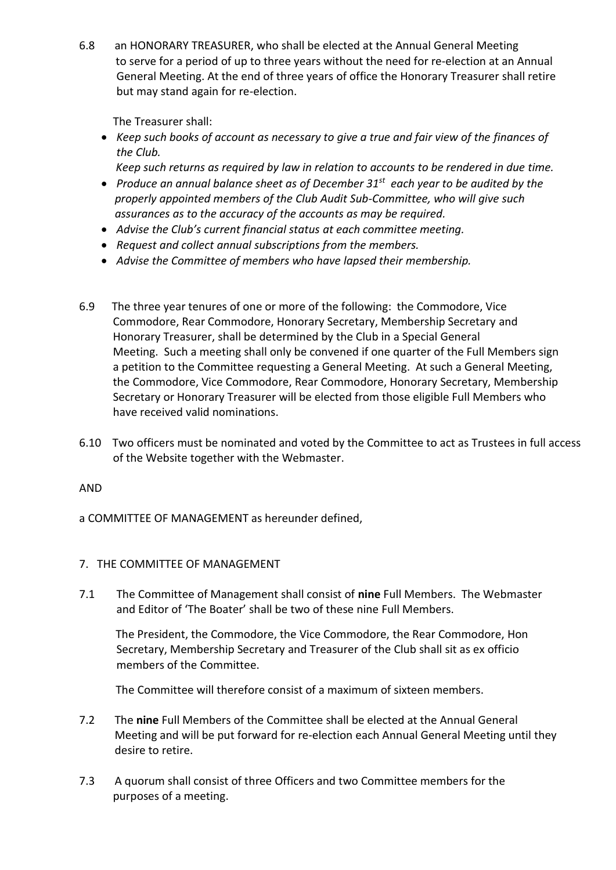6.8 an HONORARY TREASURER, who shall be elected at the Annual General Meeting to serve for a period of up to three years without the need for re-election at an Annual General Meeting. At the end of three years of office the Honorary Treasurer shall retire but may stand again for re-election.

The Treasurer shall:

- *Keep such books of account as necessary to give a true and fair view of the finances of the Club.*
	- *Keep such returns as required by law in relation to accounts to be rendered in due time.*
- *Produce an annual balance sheet as of December 31st each year to be audited by the properly appointed members of the Club Audit Sub-Committee, who will give such assurances as to the accuracy of the accounts as may be required.*
- *Advise the Club's current financial status at each committee meeting.*
- *Request and collect annual subscriptions from the members.*
- *Advise the Committee of members who have lapsed their membership.*
- 6.9 The three year tenures of one or more of the following: the Commodore, Vice Commodore, Rear Commodore, Honorary Secretary, Membership Secretary and Honorary Treasurer, shall be determined by the Club in a Special General Meeting.Such a meeting shall only be convened if one quarter of the Full Members sign a petition to the Committee requesting a General Meeting. At such a General Meeting, the Commodore, Vice Commodore, Rear Commodore, Honorary Secretary, Membership Secretary or Honorary Treasurer will be elected from those eligible Full Members who have received valid nominations.
- 6.10 Two officers must be nominated and voted by the Committee to act as Trustees in full access of the Website together with the Webmaster.

AND

a COMMITTEE OF MANAGEMENT as hereunder defined,

## 7. THE COMMITTEE OF MANAGEMENT

7.1 The Committee of Management shall consist of **nine** Full Members. The Webmaster and Editor of 'The Boater' shall be two of these nine Full Members.

 The President, the Commodore, the Vice Commodore, the Rear Commodore, Hon Secretary, Membership Secretary and Treasurer of the Club shall sit as ex officio members of the Committee.

The Committee will therefore consist of a maximum of sixteen members.

- 7.2 The **nine** Full Members of the Committee shall be elected at the Annual General Meeting and will be put forward for re-election each Annual General Meeting until they desire to retire.
- 7.3 A quorum shall consist of three Officers and two Committee members for the purposes of a meeting.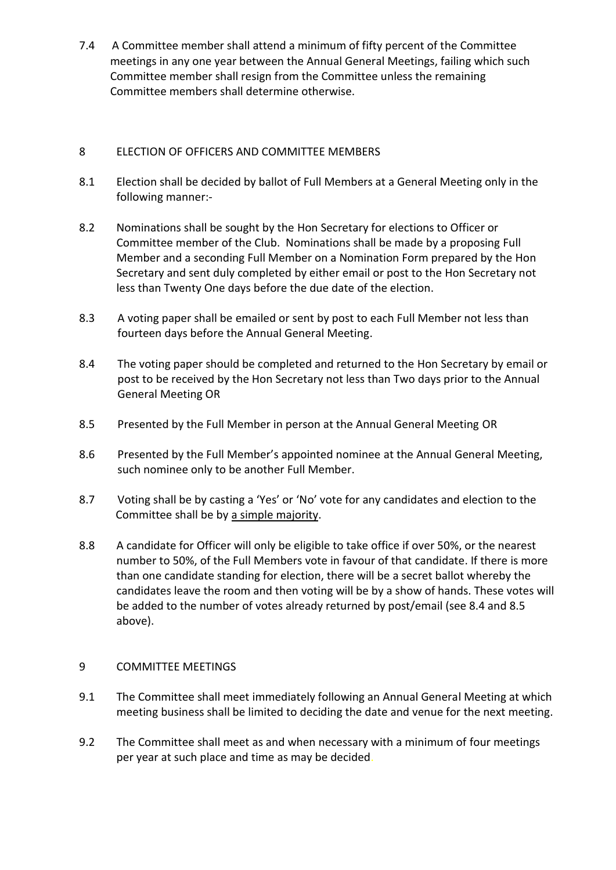7.4 A Committee member shall attend a minimum of fifty percent of the Committee meetings in any one year between the Annual General Meetings, failing which such Committee member shall resign from the Committee unless the remaining Committee members shall determine otherwise.

# 8 ELECTION OF OFFICERS AND COMMITTEE MEMBERS

- 8.1 Election shall be decided by ballot of Full Members at a General Meeting only in the following manner:-
- 8.2 Nominations shall be sought by the Hon Secretary for elections to Officer or Committee member of the Club. Nominations shall be made by a proposing Full Member and a seconding Full Member on a Nomination Form prepared by the Hon Secretary and sent duly completed by either email or post to the Hon Secretary not less than Twenty One days before the due date of the election.
- 8.3 A voting paper shall be emailed or sent by post to each Full Member not less than fourteen days before the Annual General Meeting.
- 8.4 The voting paper should be completed and returned to the Hon Secretary by email or post to be received by the Hon Secretary not less than Two days prior to the Annual General Meeting OR
- 8.5 Presented by the Full Member in person at the Annual General Meeting OR
- 8.6 Presented by the Full Member's appointed nominee at the Annual General Meeting, such nominee only to be another Full Member.
- 8.7 Voting shall be by casting a 'Yes' or 'No' vote for any candidates and election to the Committee shall be by a simple majority.
- 8.8 A candidate for Officer will only be eligible to take office if over 50%, or the nearest number to 50%, of the Full Members vote in favour of that candidate. If there is more than one candidate standing for election, there will be a secret ballot whereby the candidates leave the room and then voting will be by a show of hands. These votes will be added to the number of votes already returned by post/email (see 8.4 and 8.5 above).

## 9 COMMITTEE MEETINGS

- 9.1 The Committee shall meet immediately following an Annual General Meeting at which meeting business shall be limited to deciding the date and venue for the next meeting.
- 9.2 The Committee shall meet as and when necessary with a minimum of four meetings per year at such place and time as may be decided.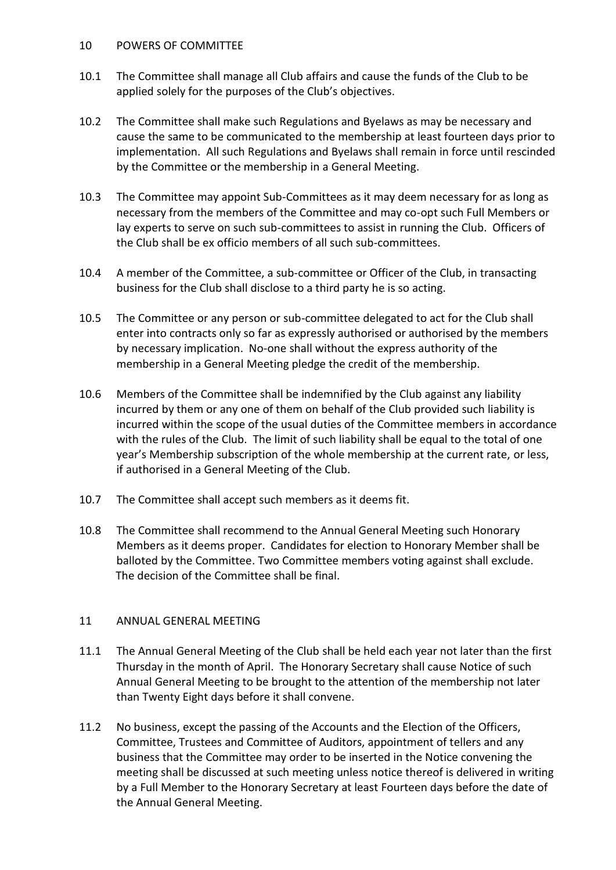### 10 POWERS OF COMMITTEE

- 10.1 The Committee shall manage all Club affairs and cause the funds of the Club to be applied solely for the purposes of the Club's objectives.
- 10.2 The Committee shall make such Regulations and Byelaws as may be necessary and cause the same to be communicated to the membership at least fourteen days prior to implementation. All such Regulations and Byelaws shall remain in force until rescinded by the Committee or the membership in a General Meeting.
- 10.3 The Committee may appoint Sub-Committees as it may deem necessary for as long as necessary from the members of the Committee and may co-opt such Full Members or lay experts to serve on such sub-committees to assist in running the Club. Officers of the Club shall be ex officio members of all such sub-committees.
- 10.4 A member of the Committee, a sub-committee or Officer of the Club, in transacting business for the Club shall disclose to a third party he is so acting.
- 10.5 The Committee or any person or sub-committee delegated to act for the Club shall enter into contracts only so far as expressly authorised or authorised by the members by necessary implication. No-one shall without the express authority of the membership in a General Meeting pledge the credit of the membership.
- 10.6 Members of the Committee shall be indemnified by the Club against any liability incurred by them or any one of them on behalf of the Club provided such liability is incurred within the scope of the usual duties of the Committee members in accordance with the rules of the Club. The limit of such liability shall be equal to the total of one year's Membership subscription of the whole membership at the current rate, or less, if authorised in a General Meeting of the Club.
- 10.7 The Committee shall accept such members as it deems fit.
- 10.8 The Committee shall recommend to the Annual General Meeting such Honorary Members as it deems proper. Candidates for election to Honorary Member shall be balloted by the Committee. Two Committee members voting against shall exclude. The decision of the Committee shall be final.

## 11 ANNUAL GENERAL MEETING

- 11.1 The Annual General Meeting of the Club shall be held each year not later than the first Thursday in the month of April. The Honorary Secretary shall cause Notice of such Annual General Meeting to be brought to the attention of the membership not later than Twenty Eight days before it shall convene.
- 11.2 No business, except the passing of the Accounts and the Election of the Officers, Committee, Trustees and Committee of Auditors, appointment of tellers and any business that the Committee may order to be inserted in the Notice convening the meeting shall be discussed at such meeting unless notice thereof is delivered in writing by a Full Member to the Honorary Secretary at least Fourteen days before the date of the Annual General Meeting.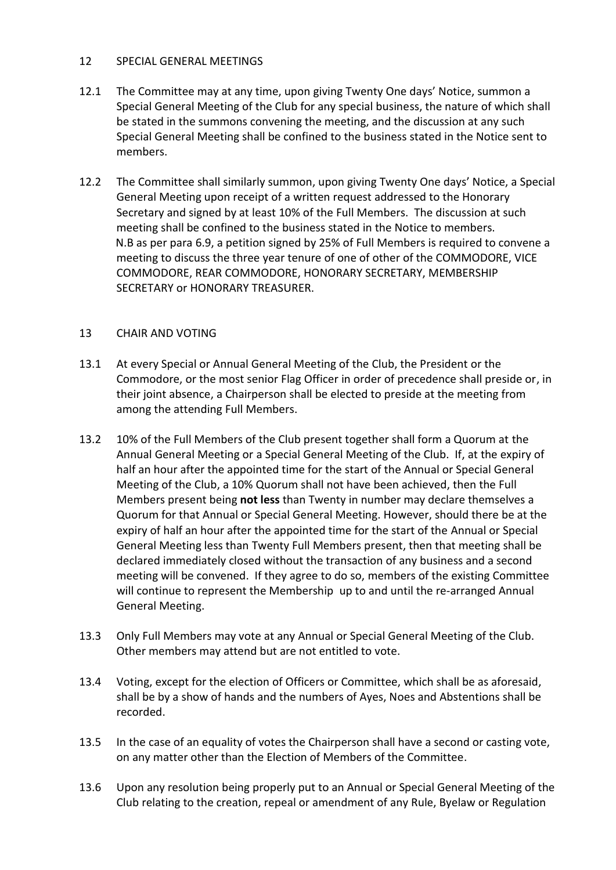### 12 SPECIAL GENERAL MEETINGS

- 12.1 The Committee may at any time, upon giving Twenty One days' Notice, summon a Special General Meeting of the Club for any special business, the nature of which shall be stated in the summons convening the meeting, and the discussion at any such Special General Meeting shall be confined to the business stated in the Notice sent to members.
- 12.2 The Committee shall similarly summon, upon giving Twenty One days' Notice, a Special General Meeting upon receipt of a written request addressed to the Honorary Secretary and signed by at least 10% of the Full Members. The discussion at such meeting shall be confined to the business stated in the Notice to members. N.B as per para 6.9, a petition signed by 25% of Full Members is required to convene a meeting to discuss the three year tenure of one of other of the COMMODORE, VICE COMMODORE, REAR COMMODORE, HONORARY SECRETARY, MEMBERSHIP SECRETARY or HONORARY TREASURER.

## 13 CHAIR AND VOTING

- 13.1 At every Special or Annual General Meeting of the Club, the President or the Commodore, or the most senior Flag Officer in order of precedence shall preside or, in their joint absence, a Chairperson shall be elected to preside at the meeting from among the attending Full Members.
- 13.2 10% of the Full Members of the Club present together shall form a Quorum at the Annual General Meeting or a Special General Meeting of the Club. If, at the expiry of half an hour after the appointed time for the start of the Annual or Special General Meeting of the Club, a 10% Quorum shall not have been achieved, then the Full Members present being **not less** than Twenty in number may declare themselves a Quorum for that Annual or Special General Meeting. However, should there be at the expiry of half an hour after the appointed time for the start of the Annual or Special General Meeting less than Twenty Full Members present, then that meeting shall be declared immediately closed without the transaction of any business and a second meeting will be convened. If they agree to do so, members of the existing Committee will continue to represent the Membership up to and until the re-arranged Annual General Meeting.
- 13.3 Only Full Members may vote at any Annual or Special General Meeting of the Club. Other members may attend but are not entitled to vote.
- 13.4 Voting, except for the election of Officers or Committee, which shall be as aforesaid, shall be by a show of hands and the numbers of Ayes, Noes and Abstentions shall be recorded.
- 13.5 In the case of an equality of votes the Chairperson shall have a second or casting vote, on any matter other than the Election of Members of the Committee.
- 13.6 Upon any resolution being properly put to an Annual or Special General Meeting of the Club relating to the creation, repeal or amendment of any Rule, Byelaw or Regulation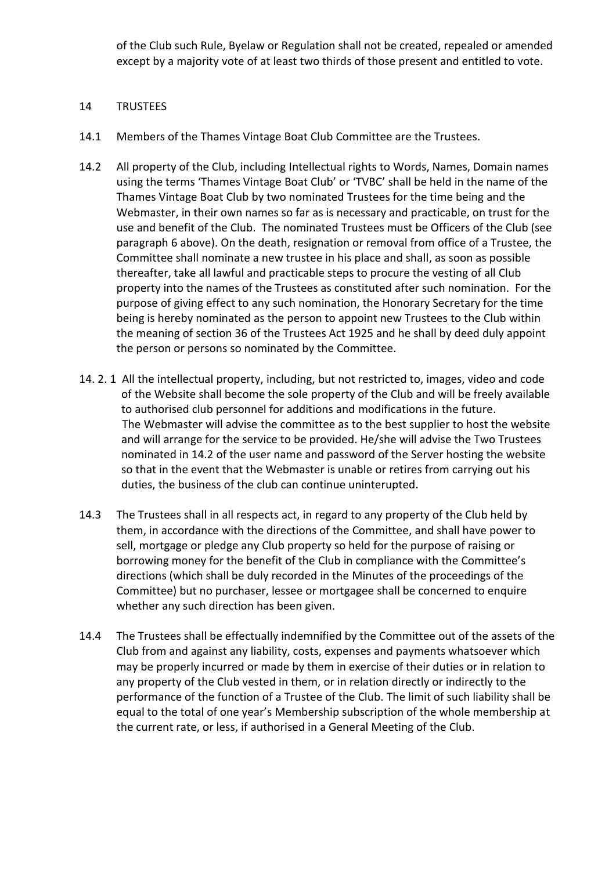of the Club such Rule, Byelaw or Regulation shall not be created, repealed or amended except by a majority vote of at least two thirds of those present and entitled to vote.

### 14 TRUSTEES

- 14.1 Members of the Thames Vintage Boat Club Committee are the Trustees.
- 14.2 All property of the Club, including Intellectual rights to Words, Names, Domain names using the terms 'Thames Vintage Boat Club' or 'TVBC' shall be held in the name of the Thames Vintage Boat Club by two nominated Trustees for the time being and the Webmaster, in their own names so far as is necessary and practicable, on trust for the use and benefit of the Club. The nominated Trustees must be Officers of the Club (see paragraph 6 above). On the death, resignation or removal from office of a Trustee, the Committee shall nominate a new trustee in his place and shall, as soon as possible thereafter, take all lawful and practicable steps to procure the vesting of all Club property into the names of the Trustees as constituted after such nomination. For the purpose of giving effect to any such nomination, the Honorary Secretary for the time being is hereby nominated as the person to appoint new Trustees to the Club within the meaning of section 36 of the Trustees Act 1925 and he shall by deed duly appoint the person or persons so nominated by the Committee.
- 14. 2. 1 All the intellectual property, including, but not restricted to, images, video and code of the Website shall become the sole property of the Club and will be freely available to authorised club personnel for additions and modifications in the future. The Webmaster will advise the committee as to the best supplier to host the website and will arrange for the service to be provided. He/she will advise the Two Trustees nominated in 14.2 of the user name and password of the Server hosting the website so that in the event that the Webmaster is unable or retires from carrying out his duties, the business of the club can continue uninterupted.
- 14.3 The Trustees shall in all respects act, in regard to any property of the Club held by them, in accordance with the directions of the Committee, and shall have power to sell, mortgage or pledge any Club property so held for the purpose of raising or borrowing money for the benefit of the Club in compliance with the Committee's directions (which shall be duly recorded in the Minutes of the proceedings of the Committee) but no purchaser, lessee or mortgagee shall be concerned to enquire whether any such direction has been given.
- 14.4 The Trustees shall be effectually indemnified by the Committee out of the assets of the Club from and against any liability, costs, expenses and payments whatsoever which may be properly incurred or made by them in exercise of their duties or in relation to any property of the Club vested in them, or in relation directly or indirectly to the performance of the function of a Trustee of the Club. The limit of such liability shall be equal to the total of one year's Membership subscription of the whole membership at the current rate, or less, if authorised in a General Meeting of the Club.